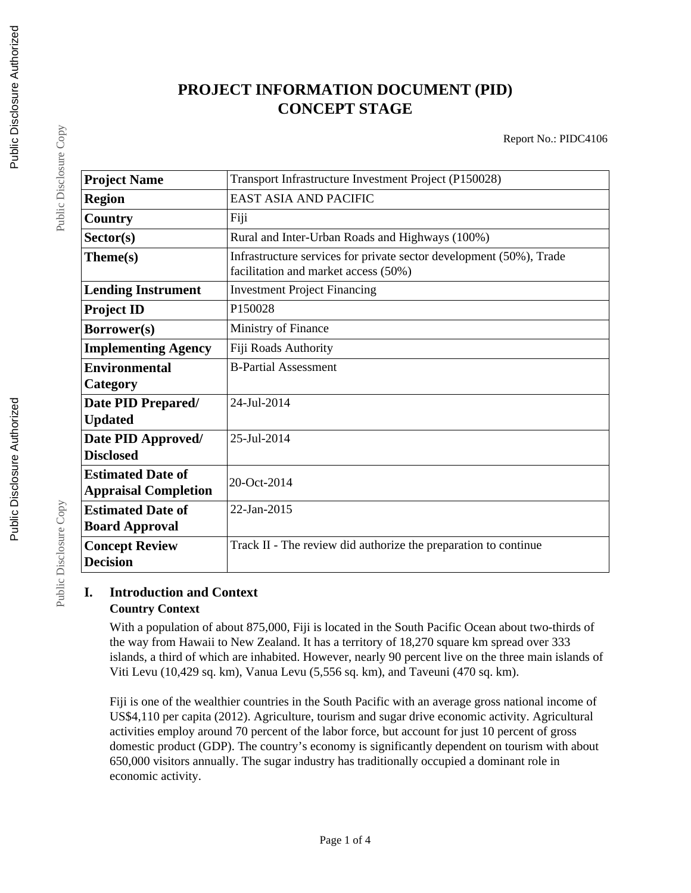# **PROJECT INFORMATION DOCUMENT (PID) CONCEPT STAGE**

Report No.: PIDC4106

| <b>Project Name</b>         | Transport Infrastructure Investment Project (P150028)                                                       |  |  |
|-----------------------------|-------------------------------------------------------------------------------------------------------------|--|--|
|                             |                                                                                                             |  |  |
| <b>Region</b>               | <b>EAST ASIA AND PACIFIC</b>                                                                                |  |  |
| Country                     | Fiji                                                                                                        |  |  |
| Sector(s)                   | Rural and Inter-Urban Roads and Highways (100%)                                                             |  |  |
| Theme(s)                    | Infrastructure services for private sector development (50%), Trade<br>facilitation and market access (50%) |  |  |
| <b>Lending Instrument</b>   | <b>Investment Project Financing</b>                                                                         |  |  |
| <b>Project ID</b>           | P150028                                                                                                     |  |  |
| Borrower(s)                 | Ministry of Finance                                                                                         |  |  |
| <b>Implementing Agency</b>  | Fiji Roads Authority                                                                                        |  |  |
| <b>Environmental</b>        | <b>B-Partial Assessment</b>                                                                                 |  |  |
| Category                    |                                                                                                             |  |  |
| Date PID Prepared/          | 24-Jul-2014                                                                                                 |  |  |
| <b>Updated</b>              |                                                                                                             |  |  |
| Date PID Approved/          | 25-Jul-2014                                                                                                 |  |  |
| <b>Disclosed</b>            |                                                                                                             |  |  |
| <b>Estimated Date of</b>    | 20-Oct-2014                                                                                                 |  |  |
| <b>Appraisal Completion</b> |                                                                                                             |  |  |
| <b>Estimated Date of</b>    | 22-Jan-2015                                                                                                 |  |  |
| <b>Board Approval</b>       |                                                                                                             |  |  |
| <b>Concept Review</b>       | Track II - The review did authorize the preparation to continue                                             |  |  |
| <b>Decision</b>             |                                                                                                             |  |  |

# **I. Introduction and Context Country Context**

With a population of about 875,000, Fiji is located in the South Pacific Ocean about two-thirds of the way from Hawaii to New Zealand. It has a territory of 18,270 square km spread over 333 islands, a third of which are inhabited. However, nearly 90 percent live on the three main islands of Viti Levu (10,429 sq. km), Vanua Levu (5,556 sq. km), and Taveuni (470 sq. km).

Fiji is one of the wealthier countries in the South Pacific with an average gross national income of US\$4,110 per capita (2012). Agriculture, tourism and sugar drive economic activity. Agricultural activities employ around 70 percent of the labor force, but account for just 10 percent of gross domestic product (GDP). The country's economy is significantly dependent on tourism with about 650,000 visitors annually. The sugar industry has traditionally occupied a dominant role in economic activity.

Public Disclosure Copy

Public Disclosure Copy

Public Disclosure Copy

Public Disclosure Copy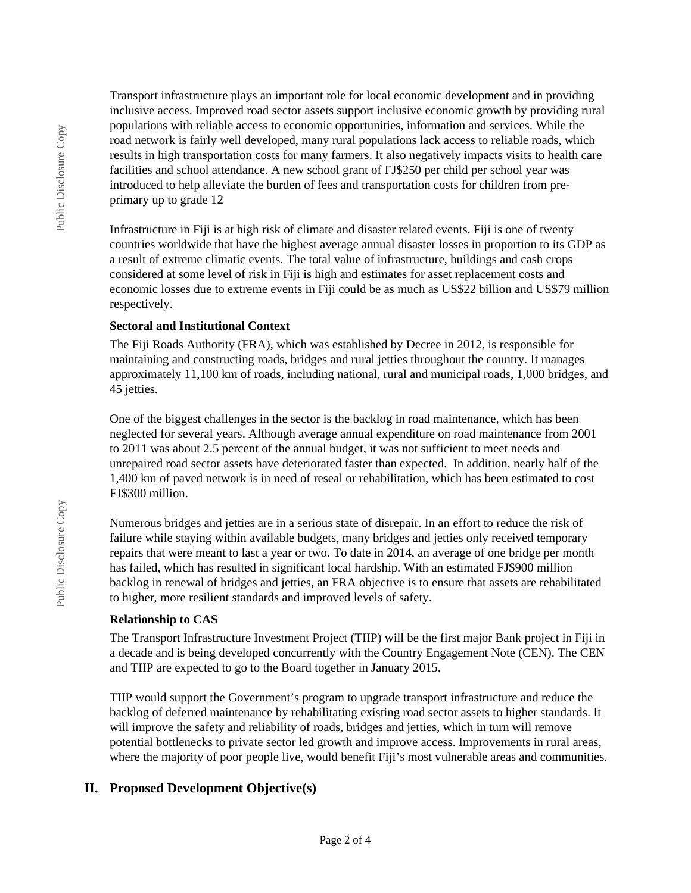Transport infrastructure plays an important role for local economic development and in providing inclusive access. Improved road sector assets support inclusive economic growth by providing rural populations with reliable access to economic opportunities, information and services. While the road network is fairly well developed, many rural populations lack access to reliable roads, which results in high transportation costs for many farmers. It also negatively impacts visits to health care facilities and school attendance. A new school grant of FJ\$250 per child per school year was introduced to help alleviate the burden of fees and transportation costs for children from preprimary up to grade 12

Infrastructure in Fiji is at high risk of climate and disaster related events. Fiji is one of twenty countries worldwide that have the highest average annual disaster losses in proportion to its GDP as a result of extreme climatic events. The total value of infrastructure, buildings and cash crops considered at some level of risk in Fiji is high and estimates for asset replacement costs and economic losses due to extreme events in Fiji could be as much as US\$22 billion and US\$79 million respectively.

## **Sectoral and Institutional Context**

The Fiji Roads Authority (FRA), which was established by Decree in 2012, is responsible for maintaining and constructing roads, bridges and rural jetties throughout the country. It manages approximately 11,100 km of roads, including national, rural and municipal roads, 1,000 bridges, and 45 jetties.

One of the biggest challenges in the sector is the backlog in road maintenance, which has been neglected for several years. Although average annual expenditure on road maintenance from 2001 to 2011 was about 2.5 percent of the annual budget, it was not sufficient to meet needs and unrepaired road sector assets have deteriorated faster than expected. In addition, nearly half of the 1,400 km of paved network is in need of reseal or rehabilitation, which has been estimated to cost FJ\$300 million.

Numerous bridges and jetties are in a serious state of disrepair. In an effort to reduce the risk of failure while staying within available budgets, many bridges and jetties only received temporary repairs that were meant to last a year or two. To date in 2014, an average of one bridge per month has failed, which has resulted in significant local hardship. With an estimated FJ\$900 million backlog in renewal of bridges and jetties, an FRA objective is to ensure that assets are rehabilitated to higher, more resilient standards and improved levels of safety.

#### **Relationship to CAS**

The Transport Infrastructure Investment Project (TIIP) will be the first major Bank project in Fiji in a decade and is being developed concurrently with the Country Engagement Note (CEN). The CEN and TIIP are expected to go to the Board together in January 2015.

TIIP would support the Government's program to upgrade transport infrastructure and reduce the backlog of deferred maintenance by rehabilitating existing road sector assets to higher standards. It will improve the safety and reliability of roads, bridges and jetties, which in turn will remove potential bottlenecks to private sector led growth and improve access. Improvements in rural areas, where the majority of poor people live, would benefit Fiji's most vulnerable areas and communities.

# **II. Proposed Development Objective(s)**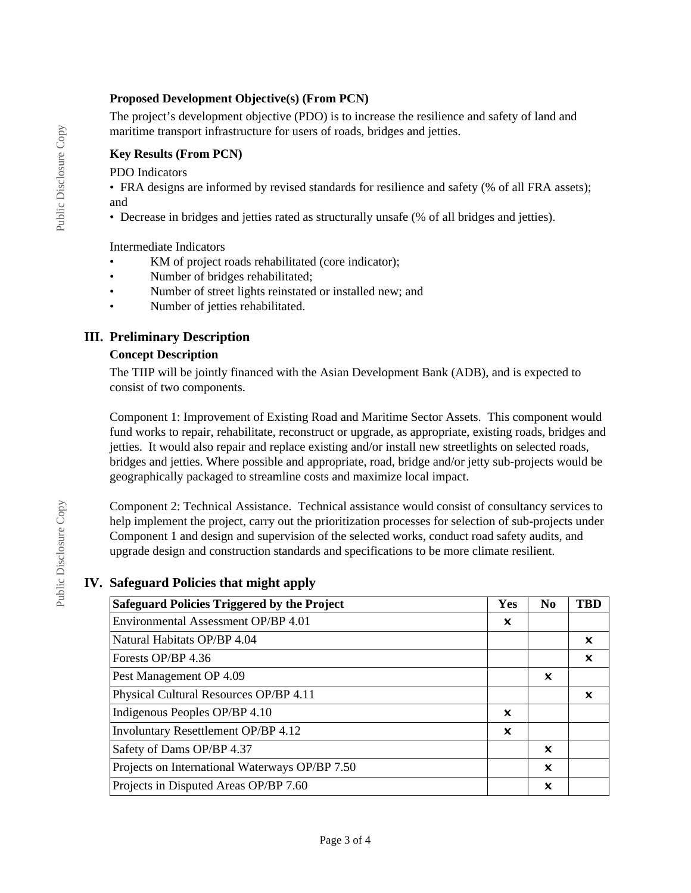## **Proposed Development Objective(s) (From PCN)**

The project's development objective (PDO) is to increase the resilience and safety of land and maritime transport infrastructure for users of roads, bridges and jetties.

## **Key Results (From PCN)**

PDO Indicators

• FRA designs are informed by revised standards for resilience and safety (% of all FRA assets); and

• Decrease in bridges and jetties rated as structurally unsafe (% of all bridges and jetties).

Intermediate Indicators

- KM of project roads rehabilitated (core indicator);
- Number of bridges rehabilitated;
- Number of street lights reinstated or installed new; and
- Number of jetties rehabilitated.

# **III. Preliminary Description**

### **Concept Description**

The TIIP will be jointly financed with the Asian Development Bank (ADB), and is expected to consist of two components.

Component 1: Improvement of Existing Road and Maritime Sector Assets. This component would fund works to repair, rehabilitate, reconstruct or upgrade, as appropriate, existing roads, bridges and jetties. It would also repair and replace existing and/or install new streetlights on selected roads, bridges and jetties. Where possible and appropriate, road, bridge and/or jetty sub-projects would be geographically packaged to streamline costs and maximize local impact.

Component 2: Technical Assistance. Technical assistance would consist of consultancy services to help implement the project, carry out the prioritization processes for selection of sub-projects under Component 1 and design and supervision of the selected works, conduct road safety audits, and upgrade design and construction standards and specifications to be more climate resilient.

# **IV. Safeguard Policies that might apply**

| <b>Safeguard Policies Triggered by the Project</b> | Yes | N <sub>0</sub> | <b>TBD</b> |
|----------------------------------------------------|-----|----------------|------------|
| Environmental Assessment OP/BP 4.01                | ×   |                |            |
| Natural Habitats OP/BP 4.04                        |     |                | ×          |
| Forests OP/BP 4.36                                 |     |                | x          |
| Pest Management OP 4.09                            |     | ×              |            |
| Physical Cultural Resources OP/BP 4.11             |     |                | x          |
| Indigenous Peoples OP/BP 4.10                      | ×   |                |            |
| Involuntary Resettlement OP/BP 4.12                | X   |                |            |
| Safety of Dams OP/BP 4.37                          |     | x              |            |
| Projects on International Waterways OP/BP 7.50     |     | x              |            |
| Projects in Disputed Areas OP/BP 7.60              |     | X              |            |